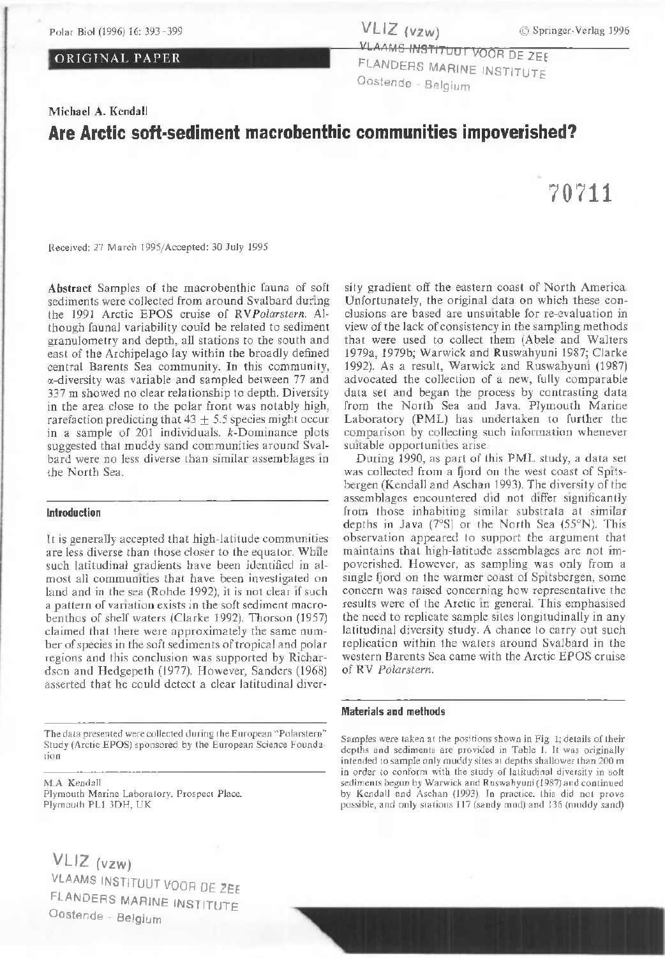#### ORIGINAL PAPER

VLAAMS INSTITUUT VOOR DE ZEE FLANDERS MARINE INSTITUTE O ostende - Belgium

### Michael A. Kendall

## Are Arctic soft-sediment macrobenthic communities impoverished?

Received: 27 March 1995/Accepted: 30 July 1995

Abstract Samples of the macrobenthic fauna of soft sediments were collected from around Svalbard during the 1991 Arctic EPOS cruise of *RV Polarstern*. Although faunal variability could be related to sediment granulometry and depth, all stations to the south and east of the Archipelago lay within the broadly defined central Barents Sea community. In this community,  $\alpha$ -diversity was variable and sampled between 77 and 337 m showed no clear relationship to depth. Diversity in the area close to the polar front was notably high, rarefaction predicting that  $43 \pm 5.5$  species might occur in a sample of  $201$  individuals.  $k$ -Dominance plots suggested that muddy sand communities around Svalbard were no less diverse than similar assemblages in the North Sea.

#### Introduction

It is generally accepted that high-latitude communities are less diverse than those closer to the equator. While such latitudinal gradients have been identified in almost all communities that have been investigated on land and in the sea (Rohde 1992), it is not clear if such a pattern of variation exists in the soft sediment macrobenthos of shelf waters (Clarke 1992). Thorson (1957) claimed that there were approximately the same number of species in the soft sediments of tropical and polar regions and this conclusion was supported by Richardson and Hedgepeth (1977). However, Sanders (1968). asserted that he could detect a clear latitudinal diver-

The data presented were collected during the European "Polarstern" Study (Arctic EPOS) sponsored by the European Science Foundatio n

M.A Kendall Plymouth Marine Laboratory, Prospect Place. Plymouth PL1 3DH, UK

VLIZ (vzw) VLAAMS INSTITUUT VOOR DE ZEE FLANDERS MARINE INSTITUTE O ostende - Belgium

sity gradient off the eastern coast of North America. Unfortunately, the original data on which these conclusions a re based are unsuitable for re-evaluation in view of the lack of consistency in the sampling methods that were used to collect them (Abele and Walters 1979a, 1979b; Warwick and Ruswahyuni 1987; Clarke 1992). As a result, Warwick and Ruswahyuni (1987). advocated the collection of a new, fully comparable data set and began the process by contrasting data from the North Sea and Java. Plymouth Marine Laboratory (PML) has undertaken to further the comparison by collecting such information whenever suitable opportunities arise.

During 1990, as part of this PML study, a data set was collected from a fjord on the west coast of Spitsbergen (Kendall and Aschan 1993). The diversity of the assemblages encountered did not differ significantly from those inhabiting similar substrata at similar depths in Java  $(7°S)$  or the North Sea  $(55°N)$ . This observation appeared to support the argument that maintains that high-latitude assemblages are not impoverished. However, as sampling was only from a single fjord on the warmer coast of Spitsbergen, some concern was raised concerning how representative the results were of the Arctic in general. This emphasised the need to replicate sample sites longitudinally in any latitudinal diversity study. A chance to carry out such replication within the waters around Svalbard in the western Barents Sea came with the Arctic EPOS cruise of RV Polarstern.

#### Materials and methods

Samples were taken at the positions shown in Fig. 1; details of their depths and sediments are provided in Table 1. It was originally intended to sample only muddy sites at depths shallower than 200 m in order to conform with the study of latitudinal diversity in soft sediments begun by Warwick and Ruswahyuni (1987) and continued by Kendall and Aschan (1993). In practice, this did not prove possible, and only stations 117 (sandy mud) and 136 (muddy sand)

# 70711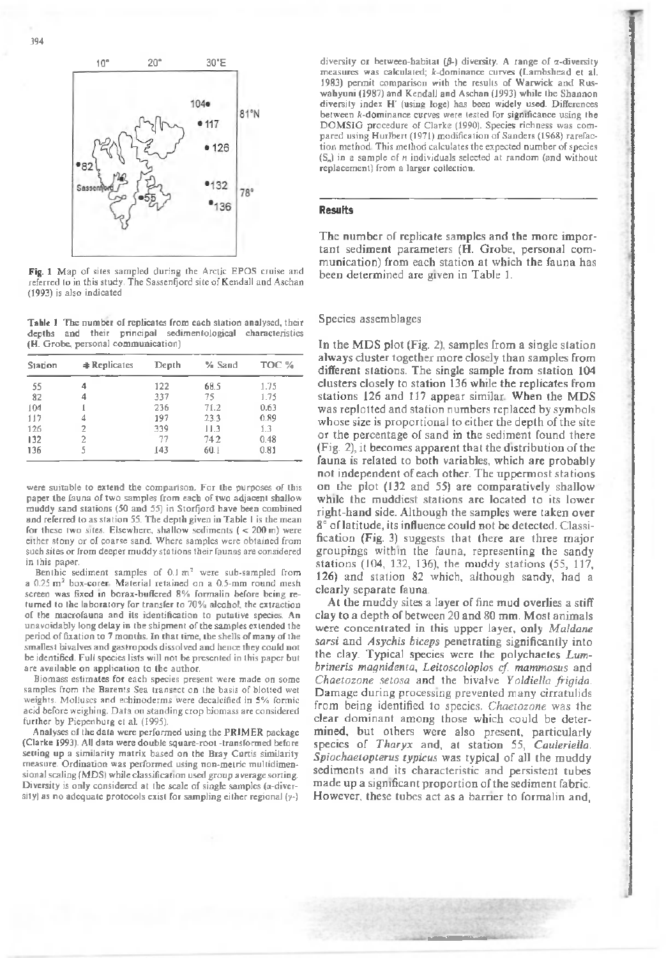

Fig. 1 Map of sites sampled during the Arctic EPOS cruise and referred to in this study. The Sassenfjord site of Kendall and Aschan (1993) is also ind icated

Table 1 The number of replicates from each station analysed, their depths and their principal sedimentological characteristics (H. Grobe, personal communication)

| <b>Station</b> | <b>#Replicates</b> | Depth | % Sand | TOC % |
|----------------|--------------------|-------|--------|-------|
| 55             | 4                  | 122   | 68.5   | 1.75  |
| 82             |                    | 337   | 75     | 1.75  |
| 104            |                    | 236   | 71.2   | 0.63  |
| 117            |                    | 197   | 23.3   | 0.89  |
| 126            |                    | 339   | 11.3   | 1.3   |
| 132            |                    | 77    | 742    | 0.48  |
| 136            | 5                  | 143   | 60.1   | 0.81  |

were suitable to extend the comparison. For the purposes of this paper the fauna of two samples from each of two adjacent shallow muddy sand stations (50 and 55) in Storfjord have been combined and referred to as station 55. The depth given in Table I is the mean for these two sites. Elsewhere, shallow sediments ( $<$  200 m) were either stony or of coarse sand. Where samples were obtained from such sites or from deeper muddy stations their faunas are considered in this paper.

Benthic sediment samples of  $0.1 \text{ m}^2$  were sub-sampled from a  $0.25$  m<sup>2</sup> box-corer. Material retained on a  $0.5$ -mm round mesh screen was fixed in borax-buffered 8% formalin before being returned to the laboratory for transfer to  $70\%$  alcohol, the extraction of the macrofauna and its identification to putative species. An unavoidably long delay in the shipment of the samples extended the period of fixation to 7 months. In that time, the shells of many of the smallest bivalves and gastropods dissolved and hence they could not be identified. Full species lists will not be presented in this paper but are available on application to the author.

Biomass estimates for each species present were made on some samples from the Barents Sea transect on the basis of blotted wet weights. Molluscs and echinoderms were decalcified in 5% formic acid before weighing. Data on standing crop biomass are considered further by Piepenburg et al. (1995).

Analyses of the data were performed using the PRIMER package (Clarke 1993). All data were double square-root -transformed before setting up a similarity matrix based on the Bray Curtis similarity measure. Ordination was performed using non-metric multidimensional scaling (MDS) while classification used group average sorting. Diversity is only considered at the scale of single samples ( $\alpha$ -diversity) as no adequate protocols exist for sampling either regional  $(y<sub>-</sub>)$ 

diversity or between-habitat  $(\beta -)$  diversity. A range of x-diversity measures was calculated; k-dominance curves (Lambshead et al. 1983) permit comparison with the results of Warwick and Ruswahyuni (1987) and Kendall and Aschan (1993) while the Shannon diversity index H' (using loge) has been widely used. Differences between  $k$ -dominance curves were tested for significance using the DOMSIG procedure of Clarke (1990). Species richness was compared using Hurlbert (1971) modification of Sanders (1968) rarefaction method. This method calculates the expected number of species (S<sub>n</sub>) in a sample of *n* individuals selected at random (and without replacement) from a larger collection.

#### Results

The number of replicate samples and the more important sediment parameters (H. Grobe, personal communication) from each station at which the fauna has been determined are given in Table 1.

#### Species assem blages

In the MDS plot (Fig. 2), samples from a single station always cluster together more closely than samples from different stations. The single sample from station 104 clusters closely to station 136 while the replicates from stations 126 and 117 appear similar. When the MDS was replotted and station numbers replaced by symbols whose size is proportional to either the depth of the site or the percentage of sand in the sediment found there (Fig. 2), it becomes apparent that the distribution of the fauna is related to both variables, which are probably not independent of each other. The uppermost stations on the plot (132 and 55) are comparatively shallow while the muddiest stations are located to its lower right-hand side. Although the samples were taken over 8° of latitude, its influence could not be detected. Classification (Fig. 3) suggests that there are three major groupings within the fauna, representing the sandy stations (104, 132, 136), the muddy stations (55, 117, 126) and station 82 which, although sandy, had a clearly separate fauna.

At the muddy sites a layer of fine mud overlies a stiff clay to a depth of between 20 and 80 mm. Most animals were concentrated in this upper layer, only *Maldane sarsi* and *Asychis biceps* penetrating significantly into the clay. Typical species were the polychaetes *Lumbrineris m agnidenta, Leitoscoloplos cf. m am m osus* and *Chaetozone setosa* and the bivalve *Yoldiella frigida*. Damage during processing prevented many cirratulids from being identified to species. *Chaetozone* was the clear dominant among those which could be determined, but others were also present, particularly species of *Tharyx* and, at station 55, *Cauleriella*. *Spiochaetopterus typicus* was typical of all the muddy sediments and its characteristic and persistent tubes made up a significant proportion of the sediment fabric. However, these tubes act as a barrier to formalin and,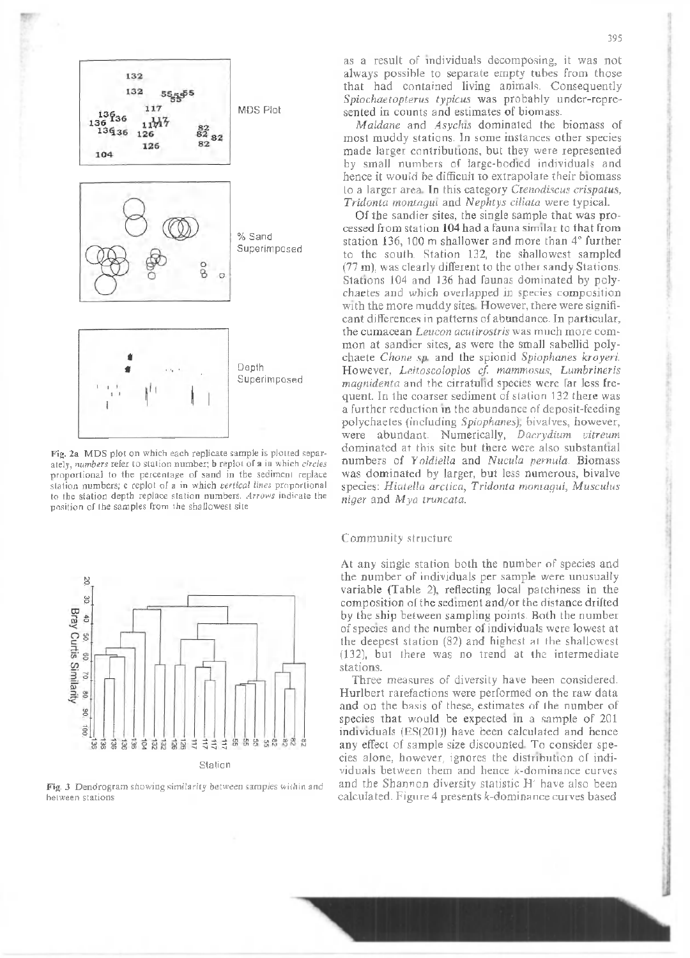

Fig. 2a MDS plot on which each replicate sample is plotted separately, *numbers* refer to station number; **b** replot of a in which *circles* proportional to the percentage of sand in the sediment replace station numbers; c replot of a in which vertical lines proportional to the station depth replace station numbers. Arrows indicate the position of the samples from the shallowest site



Fig. 3 Dendrogram showing similarity between samples within and between stations

as a result of individuals decomposing, it was not always possible to separate empty tubes from those that had contained living animals. Consequently *Spiochaetopterus typicus* was probably under-represented in counts and estimates of biomass.

*Maldane* and *Asychis* dominated the biomass of most muddy stations. In some instances other species made larger contributions, but they were represented by small numbers of large-bodied individuals and hence it would be difficult to extrapolate their biomass to a larger area. In this category *Ctenodiscus crispatus*, *Tridonta montagui* and *Nephtys ciliata* were typical.

Of the sandier sites, the single sample that was processed from station 104 had a fauna similar to that from station 136, 100 m shallower and more than 4° further to the south. Station 132, the shallowest sampled  $(77 \text{ m})$ , was clearly different to the other sandy Stations. Stations 104 and 136 had faunas dominated by polychaetes and which overlapped in species composition with the more muddy sites. However, there were significant differences in patterns of abundance. In particular, the cumacean *Leucon acutirostris* was much more common at sandier sites, as were the small sabellid polychaete *Chone sp.* and the spionid *Spiophanes kroyeri.* However, *Leitoscoloplos cf. mammosus*, *Lumbrineris magnidenta* and the cirratulid species were far less frequent. In the coarser sediment of station 132 there was a further reduction in the abundance of deposit-feeding polychaetes (including *Spiophanes*), bivalves, however, were abundant. Numerically, Dacrydium vitreum dominated at this site but there were also substantial numbers of *Yoldiella* and *Nucula pernula*. Biomass was dominated by larger, but less numerous, bivalve species: Hiatella arctica, Tridonta montagui, Musculus *niger* and *M* ya truncata.

#### Community structure

At any single station both the number of species and the number of individuals per sample were unusually variable (Table 2), reflecting local patchiness in the composition of the sediment and/or the distance drifted by the ship between sampling points. Both the number of species and the number of individuals were lowest at the deepest station  $(82)$  and highest at the shallowest  $(132)$ , but there was no trend at the intermediate stations.

Three measures of diversity have been considered. Hurlbert rarefactions were performed on the raw data and on the basis of these, estimates of the number of species that would be expected in a sample of 201 individuals  $(ES(201))$  have been calculated and hence any effect of sample size discounted. To consider species alone, however, ignores the distribution of individuals between them and hence  $k$ -dominance curves and the Shannon diversity statistic H' have also been calculated. Figure 4 presents  $k$ -dominance curves based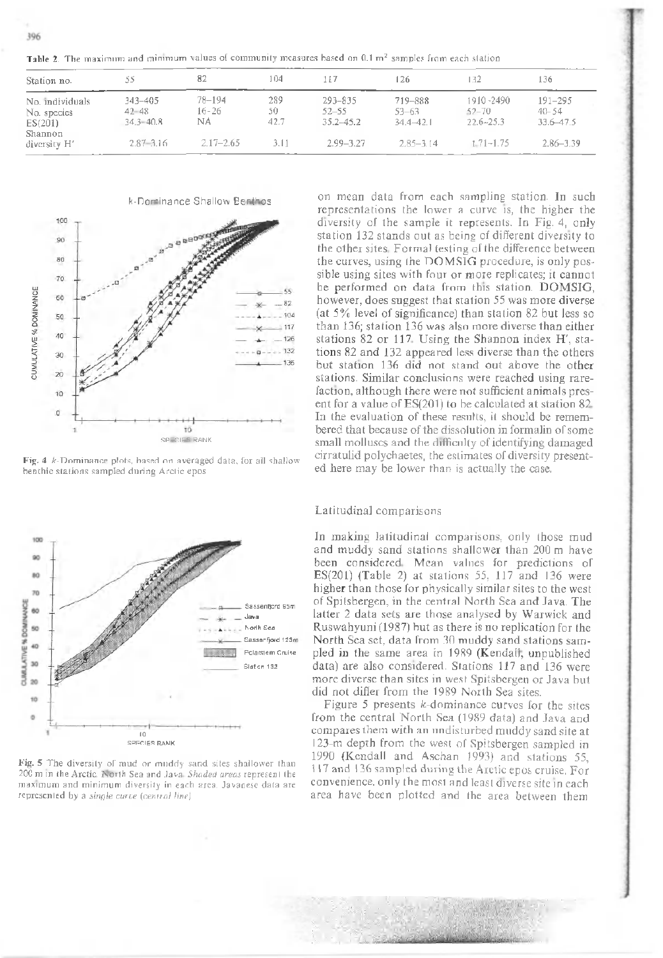Table 2. The maximum and minimum values of community measures based on 0.1 m<sup>2</sup> samples from each station

| Station no.                               |                                           | 82                        | 104               | 117                                   | 126                               | 132                                     | 136                                     |
|-------------------------------------------|-------------------------------------------|---------------------------|-------------------|---------------------------------------|-----------------------------------|-----------------------------------------|-----------------------------------------|
| No. individuals<br>No. species<br>ES(201) | $343 - 405$<br>$42 - 48$<br>$34.3 - 40.8$ | 78-194<br>$16 - 26$<br>NA | 289<br>50<br>42.7 | 293-835<br>$52 - 55$<br>$35.2 - 45.2$ | 719-888<br>53-63<br>$34.4 - 42.1$ | 1910-2490<br>$52 - 70$<br>$22.6 - 25.3$ | $191 - 295$<br>$40 - 54$<br>33.6 - 47.5 |
| Shannon<br>diversity H'                   | $2.87 - 3.16$                             | $2.17 - 2.65$             | 3.11              | $2.99 - 3.27$                         | $2.85 - 3.14$                     | $1.71 - 1.75$                           | $2.86 - 3.39$                           |

k-Dominance Shallow Benthos



Fig. 4  $k$ -Dominance plots, based on averaged data, for all shallow benthic stations sampled during Arctic epos



Fig. 5 The diversity of mud or mnddy sand sites shallower than 200 m in the Arctic. North Sea and Java. Shaded areas represent the maximum and minimum diversity in each area. Javanese data are represented by a *single curve* (central line)

on mean data from each sampling station. In such representations the lower a curve is, the higher the diversity of the sample it represents. In Fig. 4, only station 132 stands out as being of different diversity to the other sites. Formal testing of the difference between the curves, using the DOMSIG procedure, is only possible using sites with four or more replicates; it cannot be performed on data from this station. DOMSIG, however, does suggest that station 55 was more diverse (at  $5\%$  level of significance) than station 82 but less so than 136; station 136 was also more diverse than either stations 82 or 117. Using the Shannon index H', stations 82 and 132 appeared less diverse than the others but station 136 did not stand out above the other stations. Similar conclusions were reached using rarefaction, although there were not sufficient animals present for a value of  $ES(201)$  to be calculated at station  $82$ . In the evaluation of these results, it should be remembered that because of the dissolution in formalin of some small molluscs and the difficulty of identifying damaged cirratulid polychaetes, the estim ates of diversity presented here may be lower than is actually the case.

#### Latitudinal comparisons

In making latitudinal comparisons, only those mud and muddy sand stations shallower than 200 m have been considered. Mean values for predictions of ES(201) (Table 2) at stations 55, 117 and 136 were higher than those for physically similar sites to the west of Spitsbergen, in the central North Sea and Java. The latter 2 data sets are those analysed by Warwick and Ruswahyuni (1987) but as there is no replication for the North Sea set, data from 30 muddy sand stations sampled in the same area in 1989 (Kendall, unpublished data) are also considered. Stations  $117$  and  $136$  were more diverse than sites in west Spitsbergen or Java but did not differ from the 1989 North Sea sites.

Figure 5 presents  $k$ -dominance curves for the sites from the central North Sea (1989 data) and Java and compares them with an undisturbed muddy sand site at 123-m depth from the west of Spitsbergen sampled in 1990 (Kendall and Aschan 1993) and stations 55, 117 and 136 sampled during the Arctic epos cruise. For convenience, only the most and least diverse site in each area have been plotted and the area between them

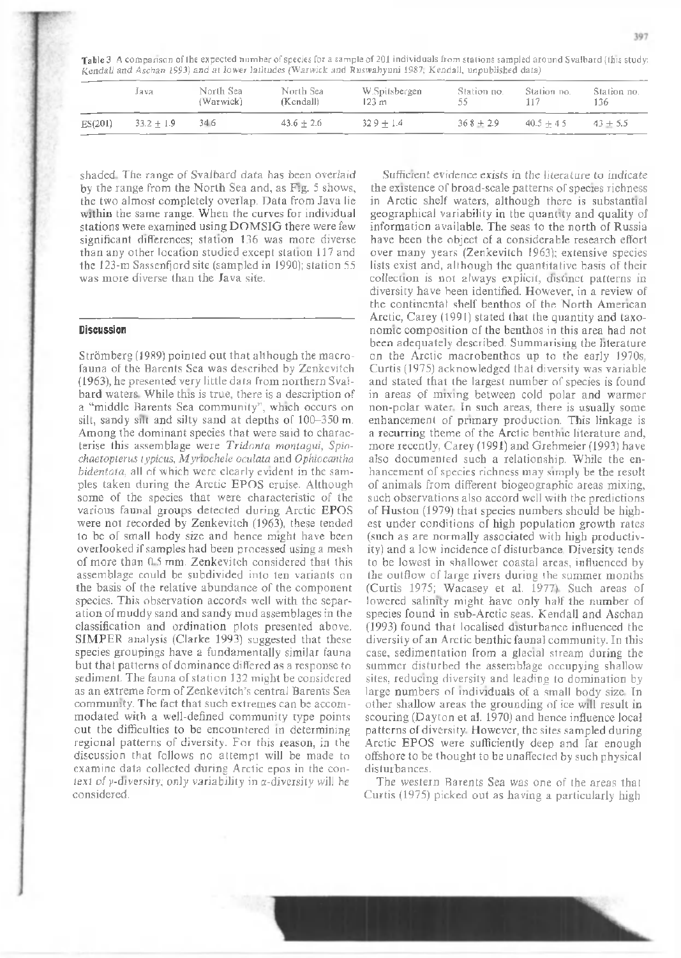Table 3 A comparison of the expected number of species for a sample of 201 individuals from stations sampled around Svalbard (this study: Kendall and Aschan 1993) and at lower latitudes (Warwick and Ruswahyuni 1987; Kendall, unpublished data)

|         | Java         | North Sea<br>(Warwick) | North Sea<br>(Kendall) | W.Spitsbergen<br>123 m | Station no.<br>55 | Station no. | Station no.<br>136 |
|---------|--------------|------------------------|------------------------|------------------------|-------------------|-------------|--------------------|
| ES(201) | $33.2 + 1.9$ | 34 6                   | $43.6 + 2.6$           | $329 + 14$             | $368 + 2.9$       | $40.5 + 45$ | $43 + 5.5$         |

shaded. The range of Svalbard data has been overlaid by the range from the North Sea and, as Fig. 5 shows, the two almost completely overlap. Data from Java lie within the same range. When the curves for individual stations were examined using DOMSIG there were few significant differences; station 136 was more diverse than any other location studied except station 117 and the 123-m Sassenfjord site (sampled in 1990); station 55 was more diverse than the Java site.

#### **Discussion**

Strömberg (1989) pointed out that although the macrofauna of the Harents Sea was described by Zenkevitch  $(1963)$ , he presented very little data from northern Svalbard waters. While this is true, there is a description of a "middle Barents Sea community", which occurs on silt, sandy silt and silty sand at depths of  $100-350$  m. Among the dominant species that were said to characterise this assem blage w ere *Tridonta montagui, Spiochaetopterus typicus, M yriochele oculata* and *Ophiocantha bidentata*, all of which were clearly evident in the samples taken during the Arctic EPOS cruise. Although some of the species that were characteristic of the various faunal groups detected during Arctic EPOS were not recorded by Zenkevitch (1963), these tended to be of small body size and hence might have been overlooked if samples had been processed using a mesh of more than  $0.5$  mm. Zenkevitch considered that this assem blage could be subdivided into ten variants on the basis of the relative abundance of the component species. This observation accords well with the separation of muddy sand and sandy mud assemblages in the classification and ordination plots presented above. SIMPER analysis (Clarke 1993) suggested that these species groupings have a fundamentally similar fauna but that patterns of dominance differed as a response to sediment. The fauna of station 132 might be considered as an extreme form of Zenkevitch's central Barents Sea community. The fact that such extremes can be accommodated with a well-defined community type points out the difficulties to be encountered in determining regional patterns of diversity. For this reason, in the discussion that follows no attempt will be made to examine data collected during Arctic epos in the context of  $\gamma$ -diversity; only variability in  $\alpha$ -diversity will he considered.

Sufficient evidence exists in the literature to indicate the existence of broad-scale patterns of species richness in Arctic shelf waters, although there is substantial geographical variability in the quantity and quality of information available. The seas to the north of Russia have been the object of a considerable research effort over many years (Zenkevitch 1963); extensive species lists exist and, although the quantitative basis of their collection is not always explicit, distinct patterns in diversity have been identified. However, in a review of the continental shelf benthos of the North American Arctic, Carey (1991) stated that the quantity and taxonomic composition of the benthos in this area had not been adequately described. Summarising the literature on the Arctic macrobenthos up to the early 1970s, Curtis (1975) acknowledged that diversity was variable and stated that the largest number of species is found in areas of mixing between cold polar and warmer non-polar water. In such areas, there is usually some enhancement of primary production. This linkage is a recurring theme of the Arctic benthic literature and, more recently, Carey (1991) and Grebmeier (1993) have also documented such a relationship. While the enhancement of species richness may simply be the result of animals from different biogeographic areas mixing, such observations also accord well with the predictions of Huston (1979) that species numbers should be highest under conditions of high population growth rates (such as are normally associated with high productivity) and a low incidence of disturbance. Diversity tends to be lowest in shallower coastal areas, influenced by the outflow of large rivers during the summer months (Curtis 1975; Wacasey et al. 1977). Such areas of lowered salinity might have only half the number of species found in sub-Arctic seas. Kendall and Aschan (1993) found that localised disturbance influenced the diversity of an Arctic benthic faunal community. In this case, sedimentation from a glacial stream during the summer disturbed the assemblage occupying shallow sites, reducing diversity and leading to domination by large numbers of individuals of a small body size. In other shallow areas the grounding of ice will result in scouring (Dayton et al. 1970) and hence influence local patterns of diversity. However, the sites sampled during Arctic EPOS were sufficiently deep and far enough offshore to be thought to be unaffected by such physical disturbances.

The western Barents Sea was one of the areas that Curtis (1975) picked out as having a particularly high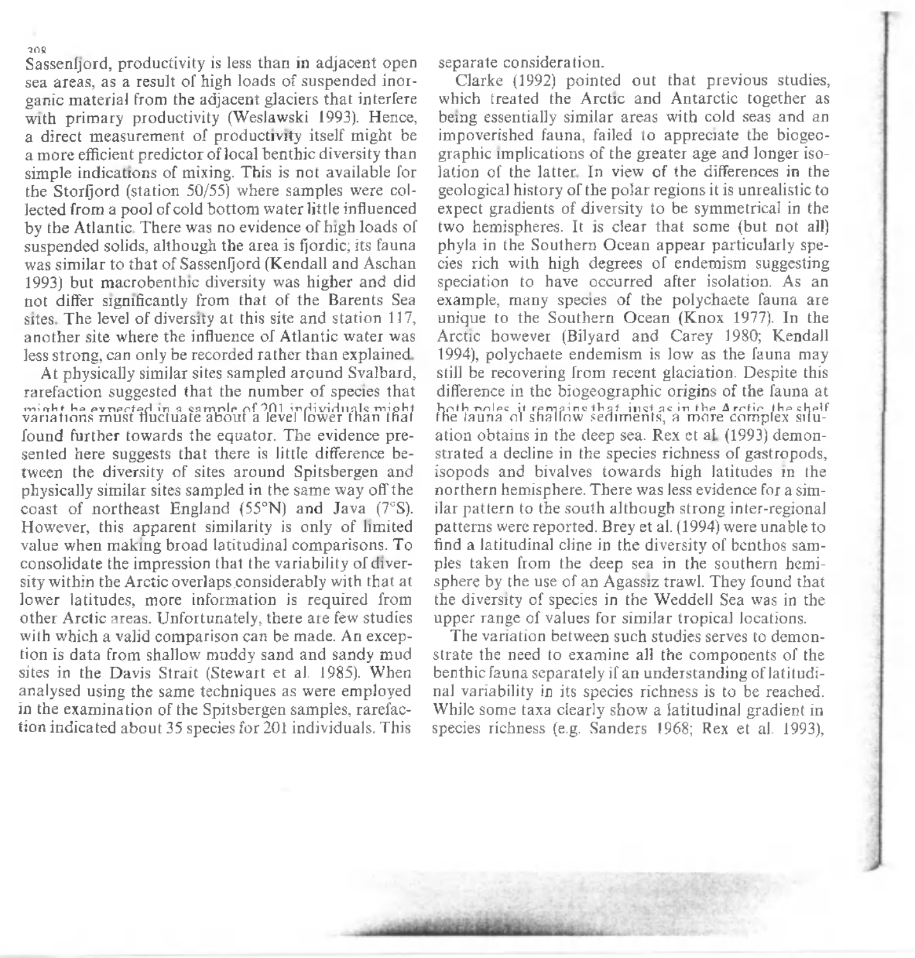Sassenfjord, productivity is less than in adjacent open sea areas, as a result of high loads of suspended inorganic material from the adjacent glaciers that interfere with primary productivity (Weslawski 1993). Hence, a direct measurement of productivity itself might be a more efficient predictor of local benthic diversity than simple indications of mixing. This is not available for the Storfiord (station 50/55) where samples were collected from a pool of cold bottom water little influenced by the Atlantic. There was no evidence of high loads of suspended solids, although the area is fjordic; its fauna was similar to that of Sassenfjord (Kendall and Aschan 1993) but macrobenthic diversity was higher and did not differ significantly from that of the Barents Sea sites. The level of diversity at this site and station 117. another site where the influence of Atlantic water was less strong, can only be recorded rather than explained.

At physically similar sites sampled around Svalbard, rarefaction suggested that the number of species that minh the expected in a sample of 201 individuals might variations must fluctuate about a level lower than that found further towards the equator. The evidence presented here suggests that there is little difference between the diversity of sites around Spitsbergen and physically similar sites sampled in the same way off the coast of northeast England  $(55°N)$  and Java  $(7°S)$ . However, this apparent similarity is only of limited value when making broad latitudinal comparisons. To consolidate the impression that the variability of diversity within the Arctic overlaps considerably with that at lower latitudes, more information is required from other Arctic areas. Unfortunately, there are few studies with which a valid comparison can be made. An exception is data from shallow muddy sand and sandy mud sites in the Davis Strait (Stewart et al. 1985). When analysed using the same techniques as were employed in the examination of the Spitsbergen samples, rarefaction indicated about 35 species for 201 individuals. This

separate consideration.

Clarke (1992) pointed out that previous studies, which treated the Arctic and Antarctic together as being essentially similar areas with cold seas and an impoverished fauna, failed to appreciate the biogeographic implications of the greater age and longer isolation of the latter. In view of the differences in the geological history of the polar regions it is unrealistic to expect gradients of diversity to be symmetrical in the two hemispheres. It is clear that some (but not all) phyla in the Southern Ocean appear particularly species rich with high degrees of endemism suggesting speciation to have occurred after isolation. As an example, many species of the polychaete fauna are unique to the Southern Ocean (Knox 1977). In the Arctic however (Bilyard and Carey 1980; Kendall 1994), polychaete endemism is low as the fauna may still be recovering from recent glaciation. Despite this difference in the biogeographic origins of the fauna at hoth poles it temping that instactmente Arctic the shelf the shall of the fauna of shallow sediments, a more complex situation obtains in the deep sea. Rex et al. (1993) demonstrated a decline in the species richness of gastropods, isopods and bivalves towards high latitudes in the northern hemisphere. There was less evidence for a similar pattern to the south although strong inter-regional patterns were reported. Brey et al. (1994) were unable to find a latitudinal cline in the diversity of benthos samples taken from the deep sea in the southern hemisphere by the use of an Agassiz trawl. They found that the diversity of species in the Weddell Sea was in the upper range of values for similar tropical locations.

The variation between such studies serves to demonstrate the need to examine all the components of the benthic fauna separately if an understanding of latitudinal variability in its species richness is to be reached. While some taxa clearly show a latitudinal gradient in species richness (e.g. Sanders 1968; Rex et al. 1993),